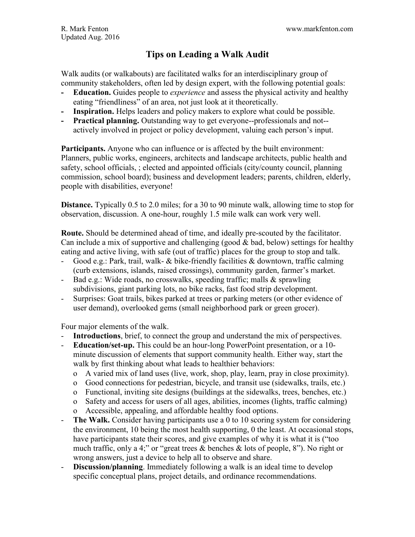# **Tips on Leading a Walk Audit**

Walk audits (or walkabouts) are facilitated walks for an interdisciplinary group of community stakeholders, often led by design expert, with the following potential goals:

- **- Education.** Guides people to *experience* and assess the physical activity and healthy eating "friendliness" of an area, not just look at it theoretically.
- **- Inspiration.** Helps leaders and policy makers to explore what could be possible.
- **- Practical planning.** Outstanding way to get everyone--professionals and not- actively involved in project or policy development, valuing each person's input.

**Participants.** Anyone who can influence or is affected by the built environment: Planners, public works, engineers, architects and landscape architects, public health and safety, school officials, ; elected and appointed officials (city/county council, planning commission, school board); business and development leaders; parents, children, elderly, people with disabilities, everyone!

**Distance.** Typically 0.5 to 2.0 miles; for a 30 to 90 minute walk, allowing time to stop for observation, discussion. A one-hour, roughly 1.5 mile walk can work very well.

**Route.** Should be determined ahead of time, and ideally pre-scouted by the facilitator. Can include a mix of supportive and challenging (good & bad, below) settings for healthy eating and active living, with safe (out of traffic) places for the group to stop and talk.

- Good e.g.: Park, trail, walk- & bike-friendly facilities & downtown, traffic calming (curb extensions, islands, raised crossings), community garden, farmer's market.
- Bad e.g.: Wide roads, no crosswalks, speeding traffic; malls & sprawling subdivisions, giant parking lots, no bike racks, fast food strip development.
- Surprises: Goat trails, bikes parked at trees or parking meters (or other evidence of user demand), overlooked gems (small neighborhood park or green grocer).

Four major elements of the walk.

- **Introductions**, brief, to connect the group and understand the mix of perspectives.
- **Education/set-up.** This could be an hour-long PowerPoint presentation, or a 10 minute discussion of elements that support community health. Either way, start the walk by first thinking about what leads to healthier behaviors:
	- o A varied mix of land uses (live, work, shop, play, learn, pray in close proximity).
	- o Good connections for pedestrian, bicycle, and transit use (sidewalks, trails, etc.)
	- o Functional, inviting site designs (buildings at the sidewalks, trees, benches, etc.)
	- o Safety and access for users of all ages, abilities, incomes (lights, traffic calming)
	- o Accessible, appealing, and affordable healthy food options.
- **The Walk.** Consider having participants use a 0 to 10 scoring system for considering the environment, 10 being the most health supporting, 0 the least. At occasional stops, have participants state their scores, and give examples of why it is what it is ("too much traffic, only a 4;" or "great trees & benches & lots of people, 8"). No right or wrong answers, just a device to help all to observe and share.
- **Discussion/planning.** Immediately following a walk is an ideal time to develop specific conceptual plans, project details, and ordinance recommendations.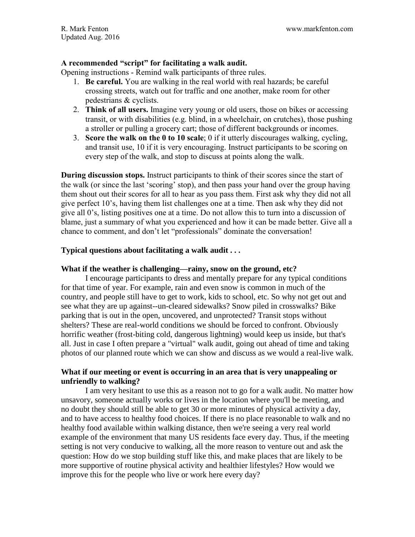# **A recommended "script" for facilitating a walk audit.**

Opening instructions - Remind walk participants of three rules.

- 1. **Be careful.** You are walking in the real world with real hazards; be careful crossing streets, watch out for traffic and one another, make room for other pedestrians & cyclists.
- 2. **Think of all users.** Imagine very young or old users, those on bikes or accessing transit, or with disabilities (e.g. blind, in a wheelchair, on crutches), those pushing a stroller or pulling a grocery cart; those of different backgrounds or incomes.
- 3. **Score the walk on the 0 to 10 scale**; 0 if it utterly discourages walking, cycling, and transit use, 10 if it is very encouraging. Instruct participants to be scoring on every step of the walk, and stop to discuss at points along the walk.

**During discussion stops.** Instruct participants to think of their scores since the start of the walk (or since the last 'scoring' stop), and then pass your hand over the group having them shout out their scores for all to hear as you pass them. First ask why they did not all give perfect 10's, having them list challenges one at a time. Then ask why they did not give all 0's, listing positives one at a time. Do not allow this to turn into a discussion of blame, just a summary of what you experienced and how it can be made better. Give all a chance to comment, and don't let "professionals" dominate the conversation!

# **Typical questions about facilitating a walk audit . . .**

#### **What if the weather is challenging—rainy, snow on the ground, etc?**

I encourage participants to dress and mentally prepare for any typical conditions for that time of year. For example, rain and even snow is common in much of the country, and people still have to get to work, kids to school, etc. So why not get out and see what they are up against--un-cleared sidewalks? Snow piled in crosswalks? Bike parking that is out in the open, uncovered, and unprotected? Transit stops without shelters? These are real-world conditions we should be forced to confront. Obviously horrific weather (frost-biting cold, dangerous lightning) would keep us inside, but that's all. Just in case I often prepare a "virtual" walk audit, going out ahead of time and taking photos of our planned route which we can show and discuss as we would a real-live walk.

# **What if our meeting or event is occurring in an area that is very unappealing or unfriendly to walking?**

I am very hesitant to use this as a reason not to go for a walk audit. No matter how unsavory, someone actually works or lives in the location where you'll be meeting, and no doubt they should still be able to get 30 or more minutes of physical activity a day, and to have access to healthy food choices. If there is no place reasonable to walk and no healthy food available within walking distance, then we're seeing a very real world example of the environment that many US residents face every day. Thus, if the meeting setting is not very conducive to walking, all the more reason to venture out and ask the question: How do we stop building stuff like this, and make places that are likely to be more supportive of routine physical activity and healthier lifestyles? How would we improve this for the people who live or work here every day?